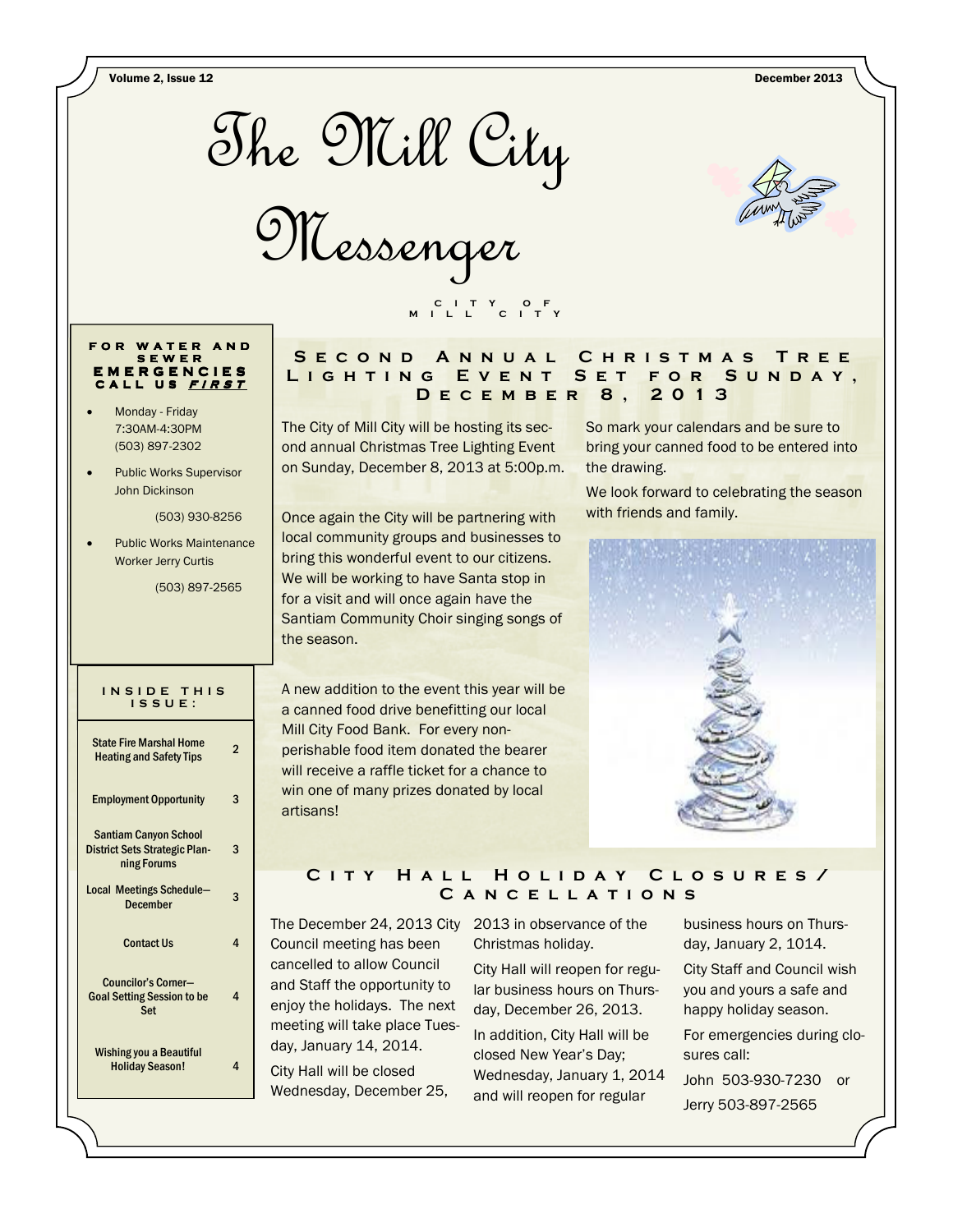Volume 2, Issue 12 December 2013



Messenger

#### FOR WATER S E W E R I E R G E N C I E S CALL US FIRST

- Monday Friday 7:30AM-4:30PM (503) 897-2302
- Public Works Supervisor John Dickinson

(503) 930-8256

• Public Works Maintenance Worker Jerry Curtis

(503) 897-2565

#### INSIDE THIS I S S U E :

| <b>State Fire Marshal Home</b><br><b>Heating and Safety Tips</b>                    | 2 |
|-------------------------------------------------------------------------------------|---|
| <b>Employment Opportunity</b>                                                       | 3 |
| <b>Santiam Canyon School</b><br><b>District Sets Strategic Plan-</b><br>ning Forums | 3 |
| Local Meetings Schedule-<br><b>December</b>                                         | 3 |
| <b>Contact Us</b>                                                                   | 4 |
| Councilor's Corner-<br><b>Goal Setting Session to be</b><br>Set                     | 4 |
| <b>Wishing you a Beautiful</b><br><b>Holiday Season!</b>                            | 4 |

# SE COND ANNUAL CHRISTMAS TREE LIGHTING EVENT SET FOR SUNDAY, D e c e m b e r 8 , 2 0 1 3

The City of Mill City will be hosting its second annual Christmas Tree Lighting Event on Sunday, December 8, 2013 at 5:00p.m.

C I T Y O F M I L L C I T Y

Once again the City will be partnering with local community groups and businesses to bring this wonderful event to our citizens. We will be working to have Santa stop in for a visit and will once again have the Santiam Community Choir singing songs of the season.

A new addition to the event this year will be a canned food drive benefitting our local Mill City Food Bank. For every nonperishable food item donated the bearer will receive a raffle ticket for a chance to win one of many prizes donated by local artisans!

# So mark your calendars and be sure to bring your canned food to be entered into the drawing.

We look forward to celebrating the season with friends and family.



# C I T Y HALL HOLIDAY CLOSURES/ CANCELLATIONS

The December 24, 2013 City 2013 in observance of the Council meeting has been cancelled to allow Council and Staff the opportunity to enjoy the holidays. The next meeting will take place Tuesday, January 14, 2014. City Hall will be closed

Wednesday, December 25,

Christmas holiday.

City Hall will reopen for regular business hours on Thursday, December 26, 2013. In addition, City Hall will be closed New Year's Day; Wednesday, January 1, 2014 and will reopen for regular

business hours on Thursday, January 2, 1014. City Staff and Council wish you and yours a safe and happy holiday season. For emergencies during closures call:

John 503-930-7230 or Jerry 503-897-2565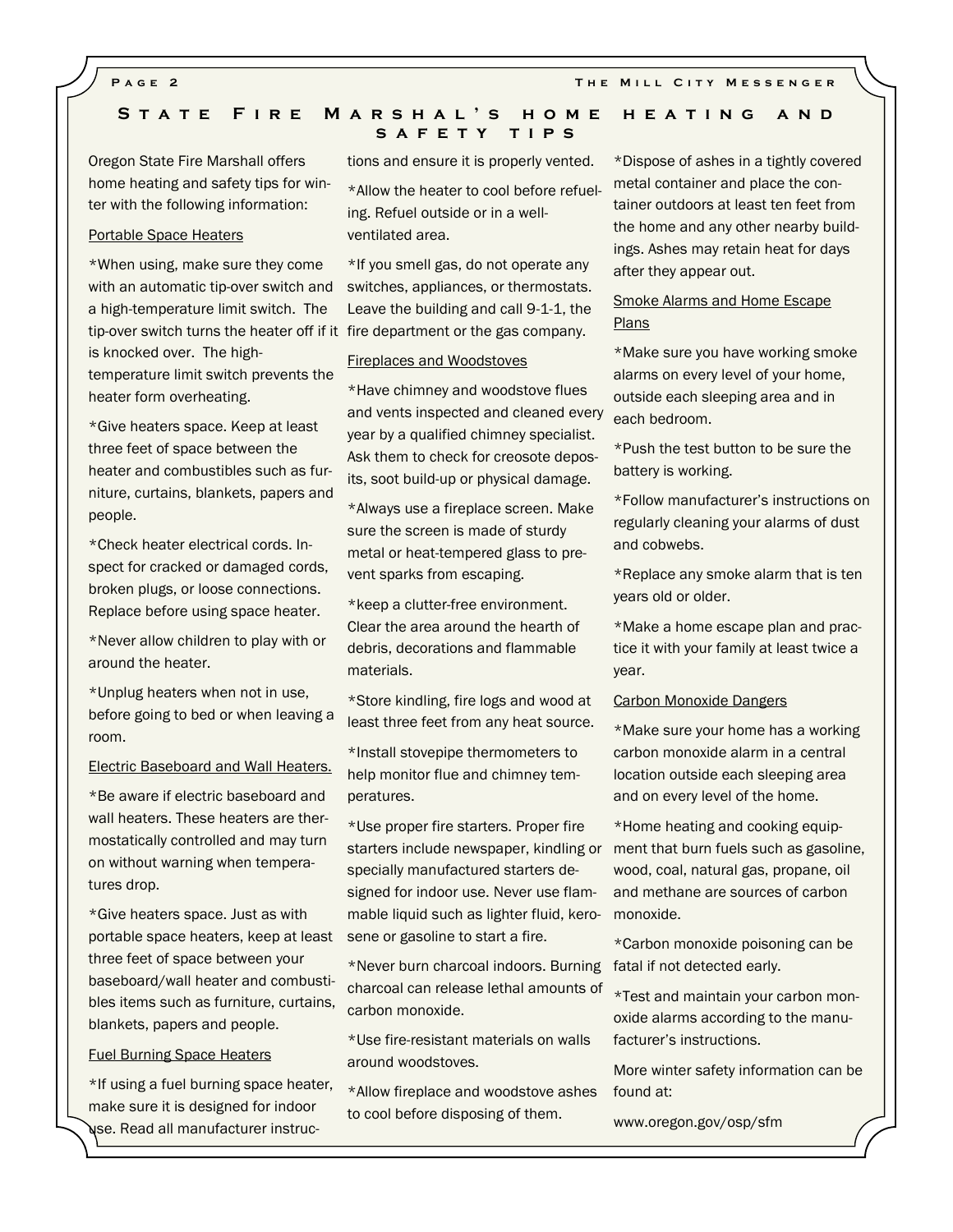# STATE FIRE MARSHAL'S HOME HEATING AND SAFETY TIPS

Oregon State Fire Marshall offers home heating and safety tips for winter with the following information:

# Portable Space Heaters

\*When using, make sure they come with an automatic tip-over switch and a high-temperature limit switch. The tip-over switch turns the heater off if it fire department or the gas company. is knocked over. The hightemperature limit switch prevents the heater form overheating.

\*Give heaters space. Keep at least three feet of space between the heater and combustibles such as furniture, curtains, blankets, papers and people.

\*Check heater electrical cords. Inspect for cracked or damaged cords, broken plugs, or loose connections. Replace before using space heater.

\*Never allow children to play with or around the heater.

\*Unplug heaters when not in use, before going to bed or when leaving a room.

#### Electric Baseboard and Wall Heaters.

\*Be aware if electric baseboard and wall heaters. These heaters are thermostatically controlled and may turn on without warning when temperatures drop.

\*Give heaters space. Just as with portable space heaters, keep at least three feet of space between your baseboard/wall heater and combustibles items such as furniture, curtains, blankets, papers and people.

#### Fuel Burning Space Heaters

\*If using a fuel burning space heater, make sure it is designed for indoor use. Read all manufacturer instructions and ensure it is properly vented.

\*Allow the heater to cool before refueling. Refuel outside or in a wellventilated area.

\*If you smell gas, do not operate any switches, appliances, or thermostats. Leave the building and call 9-1-1, the

#### Fireplaces and Woodstoves

\*Have chimney and woodstove flues and vents inspected and cleaned every year by a qualified chimney specialist. Ask them to check for creosote deposits, soot build-up or physical damage.

\*Always use a fireplace screen. Make sure the screen is made of sturdy metal or heat-tempered glass to prevent sparks from escaping.

\*keep a clutter-free environment. Clear the area around the hearth of debris, decorations and flammable materials.

\*Store kindling, fire logs and wood at least three feet from any heat source.

\*Install stovepipe thermometers to help monitor flue and chimney temperatures.

\*Use proper fire starters. Proper fire starters include newspaper, kindling or ment that burn fuels such as gasoline, specially manufactured starters designed for indoor use. Never use flammable liquid such as lighter fluid, kerosene or gasoline to start a fire.

\*Never burn charcoal indoors. Burning fatal if not detected early. charcoal can release lethal amounts of carbon monoxide.

\*Use fire-resistant materials on walls around woodstoves.

\*Allow fireplace and woodstove ashes to cool before disposing of them.

\*Dispose of ashes in a tightly covered metal container and place the container outdoors at least ten feet from the home and any other nearby buildings. Ashes may retain heat for days after they appear out.

# Smoke Alarms and Home Escape Plans

\*Make sure you have working smoke alarms on every level of your home, outside each sleeping area and in each bedroom.

\*Push the test button to be sure the battery is working.

\*Follow manufacturer's instructions on regularly cleaning your alarms of dust and cobwebs.

\*Replace any smoke alarm that is ten years old or older.

\*Make a home escape plan and practice it with your family at least twice a year.

#### Carbon Monoxide Dangers

\*Make sure your home has a working carbon monoxide alarm in a central location outside each sleeping area and on every level of the home.

\*Home heating and cooking equipwood, coal, natural gas, propane, oil and methane are sources of carbon monoxide.

\*Carbon monoxide poisoning can be

\*Test and maintain your carbon monoxide alarms according to the manufacturer's instructions.

More winter safety information can be found at:

www.oregon.gov/osp/sfm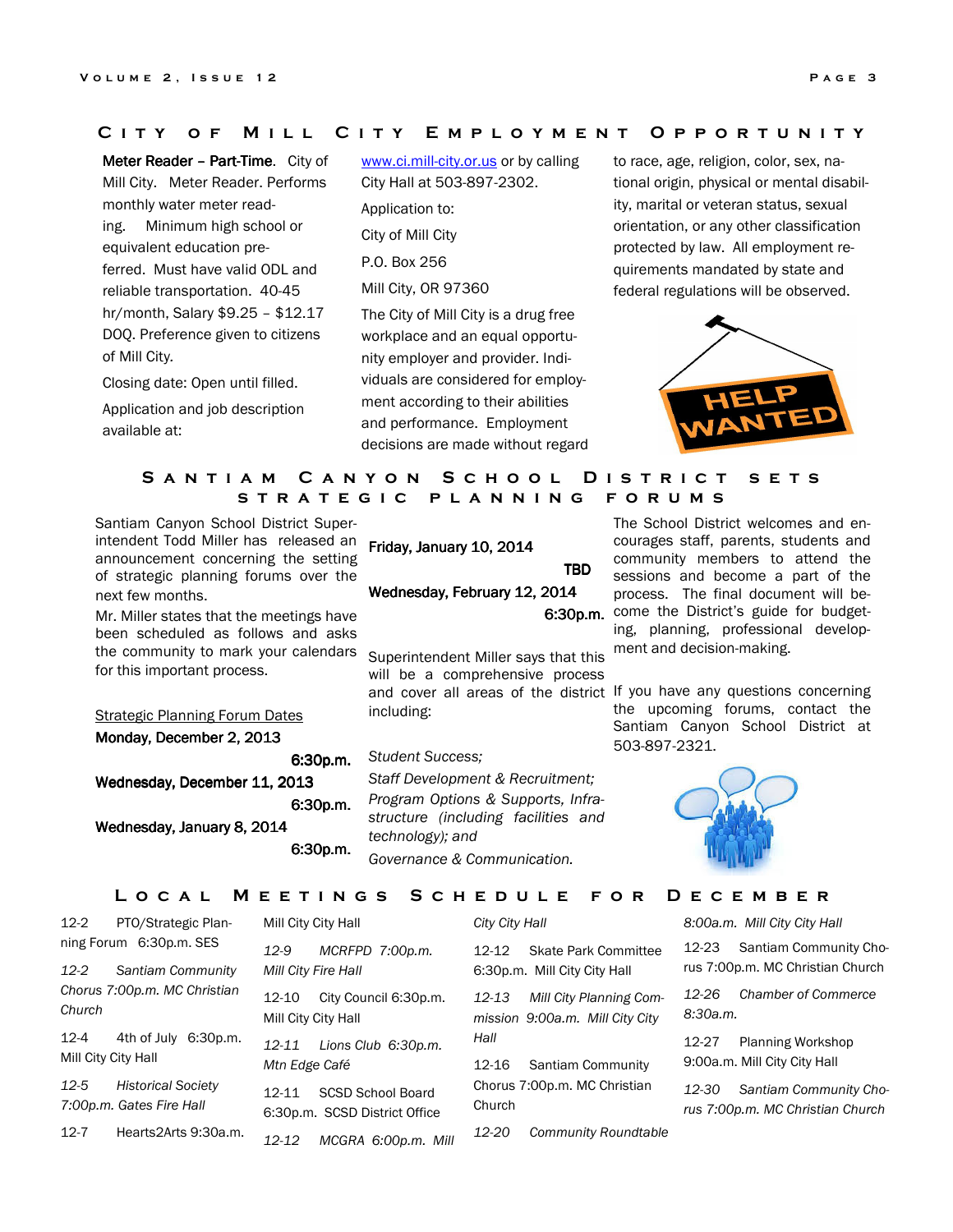## C I T Y OF M ILL C I T Y E M P L O Y M E N T O P P O R T U N I T Y

Meter Reader - Part-Time. City of Mill City. Meter Reader. Performs monthly water meter reading. Minimum high school or equivalent education preferred. Must have valid ODL and reliable transportation. 40-45 hr/month, Salary \$9.25 – \$12.17 DOQ. Preference given to citizens of Mill City.

Closing date: Open until filled. Application and job description available at:

www.ci.mill-city.or.us or by calling City Hall at 503-897-2302. Application to: City of Mill City P.O. Box 256 Mill City, OR 97360 The City of Mill City is a drug free workplace and an equal opportunity employer and provider. Individuals are considered for employment according to their abilities and performance. Employment decisions are made without regard

to race, age, religion, color, sex, national origin, physical or mental disability, marital or veteran status, sexual orientation, or any other classification protected by law. All employment requirements mandated by state and federal regulations will be observed.



# SANTIAM CANYON SCHOOL DISTRICT SETS STRATEGIC PLANNING FORUMS

Santiam Canyon School District Superintendent Todd Miller has released an announcement concerning the setting of strategic planning forums over the next few months.

Mr. Miller states that the meetings have been scheduled as follows and asks the community to mark your calendars for this important process.

**Strategic Planning Forum Dates** Monday, December 2, 2013

6:30p.m. Wednesday, December 11, 2013 6:30p.m.

Wednesday, January 8, 2014

Friday, January 10, 2014 TBD TBD Wednesday, February 12, 2014

Superintendent Miller says that this will be a comprehensive process including:

### Student Success;

6:30p.m.

Staff Development & Recruitment; Program Options & Supports, Infrastructure (including facilities and technology); and Governance & Communication.

6:30p.m. come the District's guide for budget-The School District welcomes and encourages staff, parents, students and community members to attend the sessions and become a part of the process. The final document will being, planning, professional development and decision-making.

and cover all areas of the district If you have any questions concerning the upcoming forums, contact the Santiam Canyon School District at 503-897-2321.



L O C A L M E E T I N G S S C H E D U L E F O R D E C E M B E R

| $12-2$                          | PTO/Strategic Plan-                                   | Mill City City Hall          |                                                           | City City Hall |                                                            | 8:00a.m. Mill City City Hall |                                                            |
|---------------------------------|-------------------------------------------------------|------------------------------|-----------------------------------------------------------|----------------|------------------------------------------------------------|------------------------------|------------------------------------------------------------|
|                                 | ning Forum 6:30p.m. SES                               | $12-9$                       | MCRFPD 7:00p.m.                                           | $12 - 12$      | <b>Skate Park Committee</b>                                | 12-23                        | Santiam Community Cho-                                     |
| $12-2$                          | Santiam Community                                     | Mill City Fire Hall          |                                                           |                | 6:30p.m. Mill City City Hall                               |                              | rus 7:00p.m. MC Christian Church                           |
| Church                          | Chorus 7:00p.m. MC Christian                          | 12-10<br>Mill City City Hall | City Council 6:30p.m.                                     | $12 - 13$      | Mill City Planning Com-<br>mission 9:00a.m. Mill City City | 12-26<br>8:30a.m.            | <b>Chamber of Commerce</b>                                 |
| $12 - 4$<br>Mill City City Hall | 4th of July 6:30p.m.                                  | 12-11<br>Mtn Edge Café       | Lions Club 6:30p.m.                                       | Hall<br>12-16  | Santiam Community                                          | 12-27                        | <b>Planning Workshop</b><br>9:00a.m. Mill City City Hall   |
| 12-5                            | <b>Historical Society</b><br>7:00p.m. Gates Fire Hall | 12-11                        | <b>SCSD School Board</b><br>6:30p.m. SCSD District Office | Church         | Chorus 7:00p.m. MC Christian                               | 12-30                        | Santiam Community Cho-<br>rus 7:00p.m. MC Christian Church |
| $12 - 7$                        | Hearts2Arts 9:30a.m.                                  | 12-12                        | MCGRA 6:00p.m. Mill                                       | 12-20          | <b>Community Roundtable</b>                                |                              |                                                            |